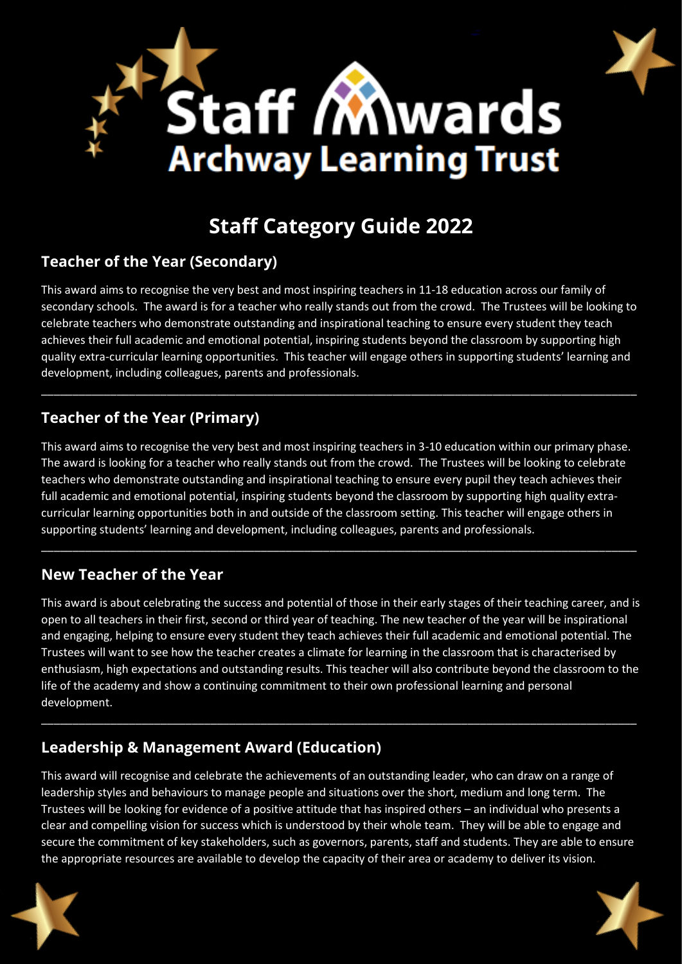

# **Staff Category Guide 2022**

# **Teacher of the Year (Secondary)**

This award aims to recognise the very best and most inspiring teachers in 11-18 education across our family of secondary schools. The award is for a teacher who really stands out from the crowd. The Trustees will be looking to celebrate teachers who demonstrate outstanding and inspirational teaching to ensure every student they teach achieves their full academic and emotional potential, inspiring students beyond the classroom by supporting high quality extra-curricular learning opportunities. This teacher will engage others in supporting students' learning and development, including colleagues, parents and professionals.

\_\_\_\_\_\_\_\_\_\_\_\_\_\_\_\_\_\_\_\_\_\_\_\_\_\_\_\_\_\_\_\_\_\_\_\_\_\_\_\_\_\_\_\_\_\_\_\_\_\_\_\_\_\_\_\_\_\_\_\_\_\_\_\_\_\_\_\_\_\_\_\_\_\_\_\_\_\_\_\_\_\_\_\_\_\_\_\_\_\_\_\_\_\_\_

## **Teacher of the Year (Primary)**

This award aims to recognise the very best and most inspiring teachers in 3-10 education within our primary phase. The award is looking for a teacher who really stands out from the crowd. The Trustees will be looking to celebrate teachers who demonstrate outstanding and inspirational teaching to ensure every pupil they teach achieves their full academic and emotional potential, inspiring students beyond the classroom by supporting high quality extracurricular learning opportunities both in and outside of the classroom setting. This teacher will engage others in supporting students' learning and development, including colleagues, parents and professionals.

\_\_\_\_\_\_\_\_\_\_\_\_\_\_\_\_\_\_\_\_\_\_\_\_\_\_\_\_\_\_\_\_\_\_\_\_\_\_\_\_\_\_\_\_\_\_\_\_\_\_\_\_\_\_\_\_\_\_\_\_\_\_\_\_\_\_\_\_\_\_\_\_\_\_\_\_\_\_\_\_\_\_\_\_\_\_\_\_\_\_\_\_\_\_\_

## **New Teacher of the Year**

This award is about celebrating the success and potential of those in their early stages of their teaching career, and is open to all teachers in their first, second or third year of teaching. The new teacher of the year will be inspirational and engaging, helping to ensure every student they teach achieves their full academic and emotional potential. The Trustees will want to see how the teacher creates a climate for learning in the classroom that is characterised by enthusiasm, high expectations and outstanding results. This teacher will also contribute beyond the classroom to the life of the academy and show a continuing commitment to their own professional learning and personal development.

\_\_\_\_\_\_\_\_\_\_\_\_\_\_\_\_\_\_\_\_\_\_\_\_\_\_\_\_\_\_\_\_\_\_\_\_\_\_\_\_\_\_\_\_\_\_\_\_\_\_\_\_\_\_\_\_\_\_\_\_\_\_\_\_\_\_\_\_\_\_\_\_\_\_\_\_\_\_\_\_\_\_\_\_\_\_\_\_\_\_\_\_\_\_\_

# **Leadership & Management Award (Education)**

This award will recognise and celebrate the achievements of an outstanding leader, who can draw on a range of leadership styles and behaviours to manage people and situations over the short, medium and long term. The Trustees will be looking for evidence of a positive attitude that has inspired others – an individual who presents a clear and compelling vision for success which is understood by their whole team. They will be able to engage and secure the commitment of key stakeholders, such as governors, parents, staff and students. They are able to ensure the appropriate resources are available to develop the capacity of their area or academy to deliver its vision.



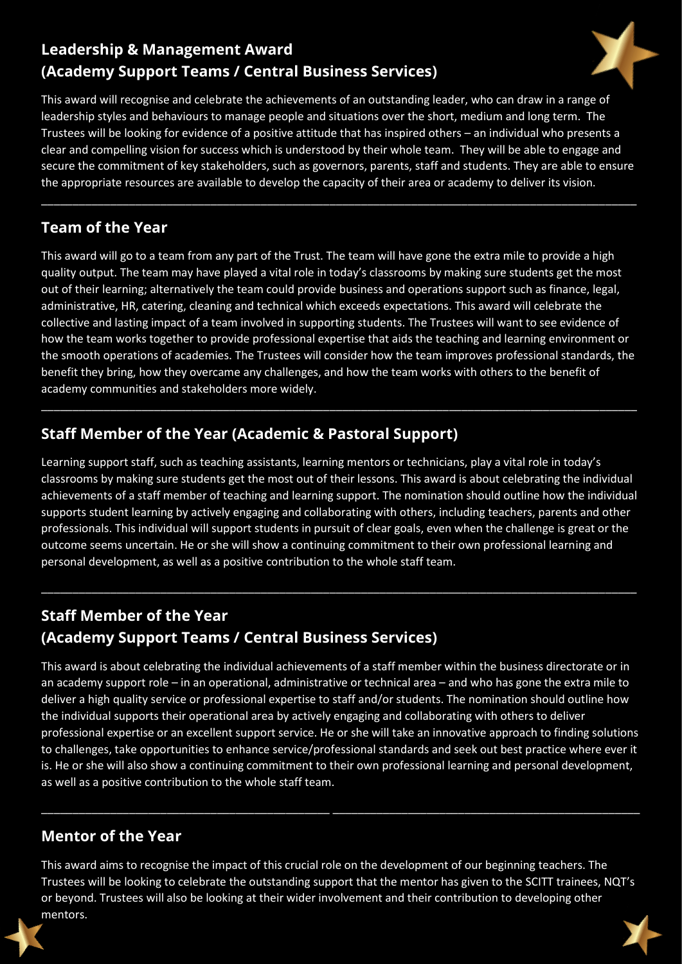# **Leadership & Management Award (Academy Support Teams / Central Business Services)**



This award will recognise and celebrate the achievements of an outstanding leader, who can draw in a range of leadership styles and behaviours to manage people and situations over the short, medium and long term. The Trustees will be looking for evidence of a positive attitude that has inspired others – an individual who presents a clear and compelling vision for success which is understood by their whole team. They will be able to engage and secure the commitment of key stakeholders, such as governors, parents, staff and students. They are able to ensure the appropriate resources are available to develop the capacity of their area or academy to deliver its vision.

\_\_\_\_\_\_\_\_\_\_\_\_\_\_\_\_\_\_\_\_\_\_\_\_\_\_\_\_\_\_\_\_\_\_\_\_\_\_\_\_\_\_\_\_\_\_\_\_\_\_\_\_\_\_\_\_\_\_\_\_\_\_\_\_\_\_\_\_\_\_\_\_\_\_\_\_\_\_\_\_\_\_\_\_\_\_\_\_\_\_\_\_\_\_\_

## **Team of the Year**

This award will go to a team from any part of the Trust. The team will have gone the extra mile to provide a high quality output. The team may have played a vital role in today's classrooms by making sure students get the most out of their learning; alternatively the team could provide business and operations support such as finance, legal, administrative, HR, catering, cleaning and technical which exceeds expectations. This award will celebrate the collective and lasting impact of a team involved in supporting students. The Trustees will want to see evidence of how the team works together to provide professional expertise that aids the teaching and learning environment or the smooth operations of academies. The Trustees will consider how the team improves professional standards, the benefit they bring, how they overcame any challenges, and how the team works with others to the benefit of academy communities and stakeholders more widely.

\_\_\_\_\_\_\_\_\_\_\_\_\_\_\_\_\_\_\_\_\_\_\_\_\_\_\_\_\_\_\_\_\_\_\_\_\_\_\_\_\_\_\_\_\_\_\_\_\_\_\_\_\_\_\_\_\_\_\_\_\_\_\_\_\_\_\_\_\_\_\_\_\_\_\_\_\_\_\_\_\_\_\_\_\_\_\_\_\_\_\_\_\_\_\_

# **Staff Member of the Year (Academic & Pastoral Support)**

Learning support staff, such as teaching assistants, learning mentors or technicians, play a vital role in today's classrooms by making sure students get the most out of their lessons. This award is about celebrating the individual achievements of a staff member of teaching and learning support. The nomination should outline how the individual supports student learning by actively engaging and collaborating with others, including teachers, parents and other professionals. This individual will support students in pursuit of clear goals, even when the challenge is great or the outcome seems uncertain. He or she will show a continuing commitment to their own professional learning and personal development, as well as a positive contribution to the whole staff team.

\_\_\_\_\_\_\_\_\_\_\_\_\_\_\_\_\_\_\_\_\_\_\_\_\_\_\_\_\_\_\_\_\_\_\_\_\_\_\_\_\_\_\_\_\_\_\_\_\_\_\_\_\_\_\_\_\_\_\_\_\_\_\_\_\_\_\_\_\_\_\_\_\_\_\_\_\_\_\_\_\_\_\_\_\_\_\_\_\_\_\_\_\_\_\_

# **Staff Member of the Year (Academy Support Teams / Central Business Services)**

This award is about celebrating the individual achievements of a staff member within the business directorate or in an academy support role – in an operational, administrative or technical area – and who has gone the extra mile to deliver a high quality service or professional expertise to staff and/or students. The nomination should outline how the individual supports their operational area by actively engaging and collaborating with others to deliver professional expertise or an excellent support service. He or she will take an innovative approach to finding solutions to challenges, take opportunities to enhance service/professional standards and seek out best practice where ever it is. He or she will also show a continuing commitment to their own professional learning and personal development, as well as a positive contribution to the whole staff team.

#### **Mentor of the Year**

This award aims to recognise the impact of this crucial role on the development of our beginning teachers. The Trustees will be looking to celebrate the outstanding support that the mentor has given to the SCITT trainees, NQT's or beyond. Trustees will also be looking at their wider involvement and their contribution to developing other mentors.

\_\_\_\_\_\_\_\_\_\_\_\_\_\_\_\_\_\_\_\_\_\_\_\_\_\_\_\_\_\_\_\_\_\_\_\_\_\_\_\_\_\_\_\_\_\_ \_\_\_\_\_\_\_\_\_\_\_\_\_\_\_\_\_\_\_\_\_\_\_\_\_\_\_\_\_\_\_\_\_\_\_\_\_\_\_\_\_\_\_\_\_\_\_\_\_